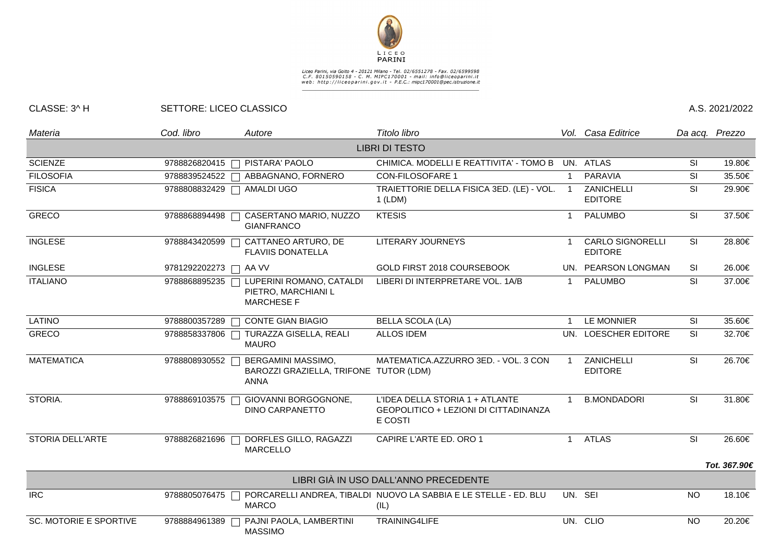

## Liceo Parini, via Goito 4 - 20121 Milano - Tel. 02/6551278 - Fax. 02/6599598<br>C.F. 80150590158 - C. M. MIPC170001 - mail: info@liceoparini.it<br>web: http://liceoparini.gov.it - P.E.C.: mipc170001@pec.istruzione.it

## CLASSE: 3^ H SETTORE: LICEO CLASSICO A.S. 2021/2022

| Materia                       | Cod. libro            | Autore                                                                               | Titolo libro                                                                        |              | Vol. Casa Editrice                        |           | Da acq. Prezzo |
|-------------------------------|-----------------------|--------------------------------------------------------------------------------------|-------------------------------------------------------------------------------------|--------------|-------------------------------------------|-----------|----------------|
|                               |                       |                                                                                      | <b>LIBRI DI TESTO</b>                                                               |              |                                           |           |                |
| <b>SCIENZE</b>                |                       | 9788826820415   PISTARA' PAOLO                                                       | CHIMICA. MODELLI E REATTIVITA' - TOMO B UN. ATLAS                                   |              |                                           | SI        | 19.80€         |
| <b>FILOSOFIA</b>              |                       | 9788839524522   ABBAGNANO, FORNERO                                                   | <b>CON-FILOSOFARE 1</b>                                                             |              | <b>PARAVIA</b>                            | SI        | 35.50€         |
| <b>FISICA</b>                 |                       | 9788808832429 □ AMALDI UGO                                                           | TRAIETTORIE DELLA FISICA 3ED. (LE) - VOL.<br>$1$ (LDM)                              |              | ZANICHELLI<br><b>EDITORE</b>              | SI        | 29.90€         |
| <b>GRECO</b>                  |                       | 9788868894498   CASERTANO MARIO, NUZZO<br><b>GIANFRANCO</b>                          | <b>KTESIS</b>                                                                       |              | <b>PALUMBO</b>                            | <b>SI</b> | 37.50€         |
| <b>INGLESE</b>                | 9788843420599         | CATTANEO ARTURO, DE<br><b>FLAVIIS DONATELLA</b>                                      | LITERARY JOURNEYS                                                                   |              | <b>CARLO SIGNORELLI</b><br><b>EDITORE</b> | SI        | 28.80€         |
| <b>INGLESE</b>                | 9781292202273 □ AA VV |                                                                                      | GOLD FIRST 2018 COURSEBOOK                                                          |              | UN. PEARSON LONGMAN                       | <b>SI</b> | 26.00€         |
| <b>ITALIANO</b>               |                       | 9788868895235   LUPERINI ROMANO, CATALDI<br>PIETRO, MARCHIANI L<br><b>MARCHESE F</b> | LIBERI DI INTERPRETARE VOL. 1A/B                                                    |              | <b>PALUMBO</b>                            | <b>SI</b> | 37.00€         |
| <b>LATINO</b>                 | 9788800357289         | <b>CONTE GIAN BIAGIO</b>                                                             | <b>BELLA SCOLA (LA)</b>                                                             |              | LE MONNIER                                | SI        | 35.60€         |
| <b>GRECO</b>                  | 9788858337806         | TURAZZA GISELLA, REALI<br><b>MAURO</b>                                               | <b>ALLOS IDEM</b>                                                                   | UN.          | <b>LOESCHER EDITORE</b>                   | <b>SI</b> | 32.70€         |
| <b>MATEMATICA</b>             | 9788808930552         | <b>BERGAMINI MASSIMO,</b><br>BAROZZI GRAZIELLA, TRIFONE TUTOR (LDM)<br><b>ANNA</b>   | MATEMATICA.AZZURRO 3ED. - VOL. 3 CON                                                | $\mathbf{1}$ | ZANICHELLI<br><b>EDITORE</b>              | <b>SI</b> | 26.70€         |
| STORIA.                       | 9788869103575         | GIOVANNI BORGOGNONE,<br><b>DINO CARPANETTO</b>                                       | L'IDEA DELLA STORIA 1 + ATLANTE<br>GEOPOLITICO + LEZIONI DI CITTADINANZA<br>E COSTI |              | <b>B.MONDADORI</b>                        | SI        | 31.80€         |
| <b>STORIA DELL'ARTE</b>       | 9788826821696         | DORFLES GILLO, RAGAZZI<br><b>MARCELLO</b>                                            | CAPIRE L'ARTE ED. ORO 1                                                             | $\mathbf{1}$ | <b>ATLAS</b>                              | <b>SI</b> | 26.60€         |
|                               |                       |                                                                                      |                                                                                     |              |                                           |           | Tot. 367.90€   |
|                               |                       |                                                                                      | LIBRI GIÀ IN USO DALL'ANNO PRECEDENTE                                               |              |                                           |           |                |
| <b>IRC</b>                    | 9788805076475         | <b>MARCO</b>                                                                         | PORCARELLI ANDREA, TIBALDI NUOVO LA SABBIA E LE STELLE - ED. BLU<br>(IL)            |              | UN. SEI                                   | <b>NO</b> | 18.10€         |
| <b>SC. MOTORIE E SPORTIVE</b> | 9788884961389         | PAJNI PAOLA, LAMBERTINI<br><b>MASSIMO</b>                                            | TRAINING4LIFE                                                                       |              | UN. CLIO                                  | <b>NO</b> | 20.20€         |